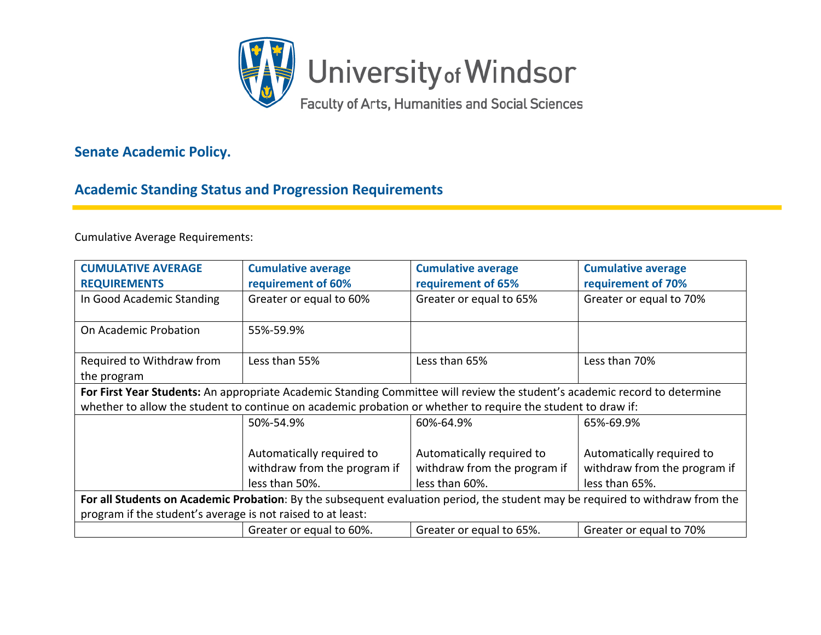

## **Senate Academic Policy.**

## **Academic Standing Status and Progression Requirements**

Cumulative Average Requirements:

| <b>CUMULATIVE AVERAGE</b>                                                                                                     | <b>Cumulative average</b>    | <b>Cumulative average</b>    | <b>Cumulative average</b>    |  |
|-------------------------------------------------------------------------------------------------------------------------------|------------------------------|------------------------------|------------------------------|--|
| <b>REQUIREMENTS</b>                                                                                                           | requirement of 60%           | requirement of 65%           | requirement of 70%           |  |
| In Good Academic Standing                                                                                                     | Greater or equal to 60%      | Greater or equal to 65%      | Greater or equal to 70%      |  |
| On Academic Probation                                                                                                         | 55%-59.9%                    |                              |                              |  |
| Required to Withdraw from                                                                                                     | Less than 55%                | Less than 65%                | Less than 70%                |  |
| the program                                                                                                                   |                              |                              |                              |  |
| For First Year Students: An appropriate Academic Standing Committee will review the student's academic record to determine    |                              |                              |                              |  |
| whether to allow the student to continue on academic probation or whether to require the student to draw if:                  |                              |                              |                              |  |
|                                                                                                                               | 50%-54.9%                    | 60%-64.9%                    | 65%-69.9%                    |  |
|                                                                                                                               |                              |                              |                              |  |
|                                                                                                                               | Automatically required to    | Automatically required to    | Automatically required to    |  |
|                                                                                                                               | withdraw from the program if | withdraw from the program if | withdraw from the program if |  |
|                                                                                                                               | less than 50%.               | less than 60%.               | less than 65%.               |  |
| For all Students on Academic Probation: By the subsequent evaluation period, the student may be required to withdraw from the |                              |                              |                              |  |
| program if the student's average is not raised to at least:                                                                   |                              |                              |                              |  |
|                                                                                                                               | Greater or equal to 60%.     | Greater or equal to 65%.     | Greater or equal to 70%      |  |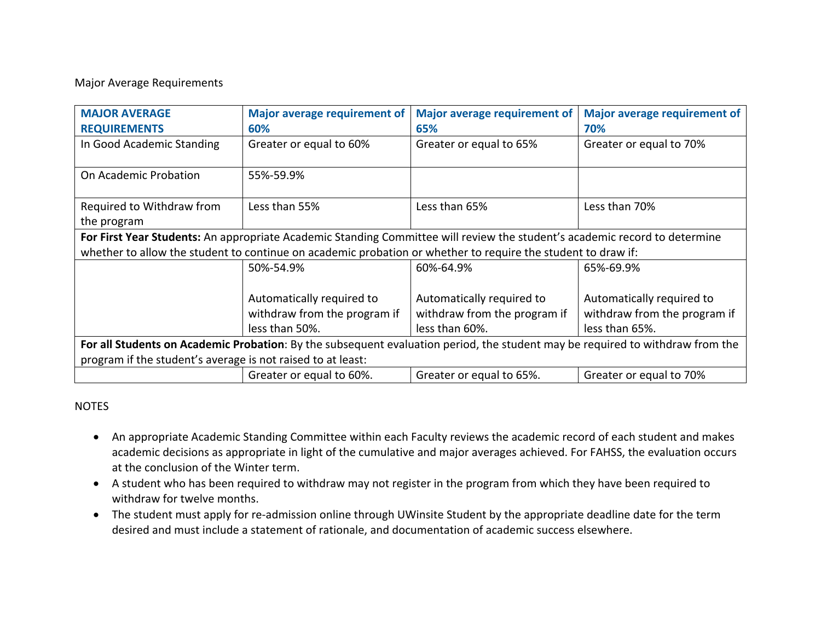## Major Average Requirements

| <b>MAJOR AVERAGE</b>                                                                                                          | <b>Major average requirement of</b> | <b>Major average requirement of</b> | <b>Major average requirement of</b> |  |
|-------------------------------------------------------------------------------------------------------------------------------|-------------------------------------|-------------------------------------|-------------------------------------|--|
| <b>REQUIREMENTS</b>                                                                                                           | 60%                                 | 65%                                 | 70%                                 |  |
| In Good Academic Standing                                                                                                     | Greater or equal to 60%             | Greater or equal to 65%             | Greater or equal to 70%             |  |
| On Academic Probation                                                                                                         | 55%-59.9%                           |                                     |                                     |  |
| Required to Withdraw from                                                                                                     | Less than 55%                       | Less than 65%                       | Less than 70%                       |  |
| the program                                                                                                                   |                                     |                                     |                                     |  |
| For First Year Students: An appropriate Academic Standing Committee will review the student's academic record to determine    |                                     |                                     |                                     |  |
| whether to allow the student to continue on academic probation or whether to require the student to draw if:                  |                                     |                                     |                                     |  |
|                                                                                                                               | 50%-54.9%                           | 60%-64.9%                           | 65%-69.9%                           |  |
|                                                                                                                               |                                     |                                     |                                     |  |
|                                                                                                                               | Automatically required to           | Automatically required to           | Automatically required to           |  |
|                                                                                                                               | withdraw from the program if        | withdraw from the program if        | withdraw from the program if        |  |
|                                                                                                                               | less than 50%.                      | less than 60%.                      | less than 65%.                      |  |
| For all Students on Academic Probation: By the subsequent evaluation period, the student may be required to withdraw from the |                                     |                                     |                                     |  |
| program if the student's average is not raised to at least:                                                                   |                                     |                                     |                                     |  |
|                                                                                                                               | Greater or equal to 60%.            | Greater or equal to 65%.            | Greater or equal to 70%             |  |

## NOTES

- An appropriate Academic Standing Committee within each Faculty reviews the academic record of each student and makes academic decisions as appropriate in light of the cumulative and major averages achieved. For FAHSS, the evaluation occurs at the conclusion of the Winter term.
- A student who has been required to withdraw may not register in the program from which they have been required to withdraw for twelve months.
- The student must apply for re-admission online through UWinsite Student by the appropriate deadline date for the term desired and must include a statement of rationale, and documentation of academic success elsewhere.